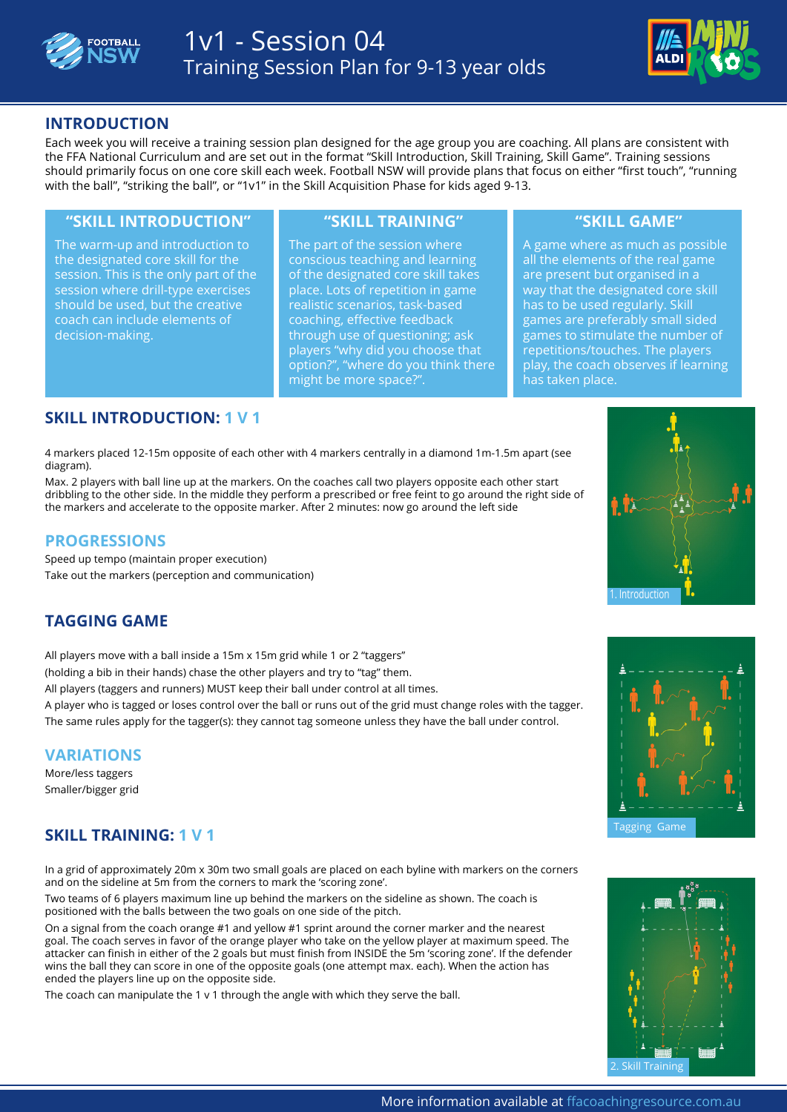



## **INTRODUCTION**

Each week you will receive a training session plan designed for the age group you are coaching. All plans are consistent with the FFA National Curriculum and are set out in the format "Skill Introduction, Skill Training, Skill Game". Training sessions should primarily focus on one core skill each week. Football NSW will provide plans that focus on either "first touch", "running with the ball", "striking the ball", or "1v1" in the Skill Acquisition Phase for kids aged 9-13.

#### **"SKILL INTRODUCTION" "SKILL TRAINING" "SKILL GAME"**

The warm-up and introduction to the designated core skill for the session. This is the only part of the session where drill-type exercises should be used, but the creative coach can include elements of decision-making.

The part of the session where conscious teaching and learning of the designated core skill takes place. Lots of repetition in game realistic scenarios, task-based coaching, effective feedback through use of questioning; ask players "why did you choose that option?", "where do you think there might be more space?".

A game where as much as possible all the elements of the real game are present but organised in a way that the designated core skill has to be used regularly. Skill games are preferably small sided games to stimulate the number of repetitions/touches. The players play, the coach observes if learning has taken place.

## **SKILL INTRODUCTION: 1 V 1**

4 markers placed 12-15m opposite of each other with 4 markers centrally in a diamond 1m-1.5m apart (see **[FIND OUT MORE](http://www.ffacoachingresource.com.au/the-building-blocks/the-skill-acquisition-phase/session-listing/1-v-1-session-1/?eid=2309)** diagram).

Max. 2 players with ball line up at the markers. On the coaches call two players opposite each other start dribbling to the other side. In the middle they perform a prescribed or free feint to go around the right side of the markers and accelerate to the opposite marker. After 2 minutes: now go around the left side

### **PROGRESSIONS**

Speed up tempo (maintain proper execution) Take out the markers (perception and communication)

# **TAGGING GAME**

All players move with a ball inside a 15m x 15m grid while 1 or 2 "taggers" (holding a bib in their hands) chase the other players and try to "tag" them. All players (taggers and runners) MUST keep their ball under control at all times.

A player who is tagged or loses control over the ball or runs out of the grid must change roles with the tagger. The same rules apply for the tagger(s): they cannot tag someone unless they have the ball under control.

#### **VARIATIONS**

More/less taggers Smaller/bigger grid

# **SKILL TRAINING: 1 V 1**

In a grid of approximately 20m x 30m two small goals are placed on each byline with markers on the corners and on the sideline at 5m from the corners to mark the 'scoring zone'.

Two teams of 6 players maximum line up behind the markers on the sideline as shown. The coach is positioned with the balls between the two goals on one side of the pitch.

On a signal from the coach orange #1 and yellow #1 sprint around the corner marker and the nearest goal. The coach serves in favor of the orange player who take on the yellow player at maximum speed. The attacker can finish in either of the 2 goals but must finish from INSIDE the 5m 'scoring zone'. If the defender wins the ball they can score in one of the opposite goals (one attempt max. each). When the action has ended the players line up on the opposite side.

The coach can manipulate the 1 v 1 through the angle with which they serve the ball.